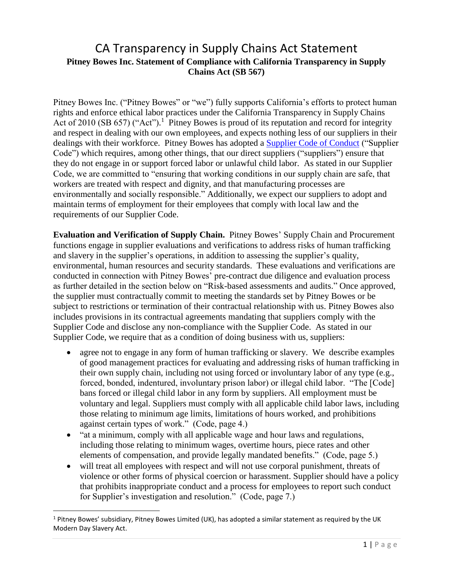## CA Transparency in Supply Chains Act Statement **Pitney Bowes Inc. Statement of Compliance with California Transparency in Supply Chains Act (SB 567)**

Pitney Bowes Inc. ("Pitney Bowes" or "we") fully supports California's efforts to protect human rights and enforce ethical labor practices under the California Transparency in Supply Chains Act of 2010 (SB 657) ("Act").<sup>1</sup> Pitney Bowes is proud of its reputation and record for integrity and respect in dealing with our own employees, and expects nothing less of our suppliers in their dealings with their workforce. Pitney Bowes has adopted a [Supplier Code of Conduct](https://www.pitneybowes.com/content/dam/pitneybowes/us/en/our-company/supplier-code-of-conduct-april-2018.pdf) ("Supplier Code") which requires, among other things, that our direct suppliers ("suppliers") ensure that they do not engage in or support forced labor or unlawful child labor. As stated in our Supplier Code, we are committed to "ensuring that working conditions in our supply chain are safe, that workers are treated with respect and dignity, and that manufacturing processes are environmentally and socially responsible." Additionally, we expect our suppliers to adopt and maintain terms of employment for their employees that comply with local law and the requirements of our Supplier Code.

**Evaluation and Verification of Supply Chain.** Pitney Bowes' Supply Chain and Procurement functions engage in supplier evaluations and verifications to address risks of human trafficking and slavery in the supplier's operations, in addition to assessing the supplier's quality, environmental, human resources and security standards. These evaluations and verifications are conducted in connection with Pitney Bowes' pre-contract due diligence and evaluation process as further detailed in the section below on "Risk-based assessments and audits." Once approved, the supplier must contractually commit to meeting the standards set by Pitney Bowes or be subject to restrictions or termination of their contractual relationship with us. Pitney Bowes also includes provisions in its contractual agreements mandating that suppliers comply with the Supplier Code and disclose any non-compliance with the Supplier Code. As stated in our Supplier Code, we require that as a condition of doing business with us, suppliers:

- agree not to engage in any form of human trafficking or slavery. We describe examples of good management practices for evaluating and addressing risks of human trafficking in their own supply chain, including not using forced or involuntary labor of any type (e.g., forced, bonded, indentured, involuntary prison labor) or illegal child labor. "The [Code] bans forced or illegal child labor in any form by suppliers. All employment must be voluntary and legal. Suppliers must comply with all applicable child labor laws, including those relating to minimum age limits, limitations of hours worked, and prohibitions against certain types of work." (Code, page 4.)
- "at a minimum, comply with all applicable wage and hour laws and regulations, including those relating to minimum wages, overtime hours, piece rates and other elements of compensation, and provide legally mandated benefits." (Code, page 5.)
- will treat all employees with respect and will not use corporal punishment, threats of violence or other forms of physical coercion or harassment. Supplier should have a policy that prohibits inappropriate conduct and a process for employees to report such conduct for Supplier's investigation and resolution." (Code, page 7.)

 $\overline{\phantom{a}}$ 

 $1$  Pitney Bowes' subsidiary, Pitney Bowes Limited (UK), has adopted a similar statement as required by the UK Modern Day Slavery Act.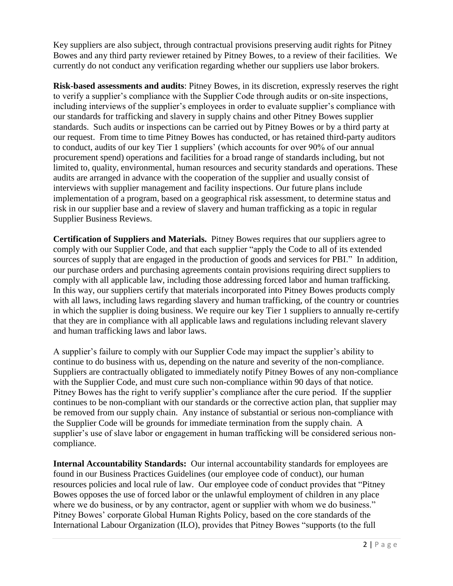Key suppliers are also subject, through contractual provisions preserving audit rights for Pitney Bowes and any third party reviewer retained by Pitney Bowes, to a review of their facilities. We currently do not conduct any verification regarding whether our suppliers use labor brokers.

**Risk-based assessments and audits**: Pitney Bowes, in its discretion, expressly reserves the right to verify a supplier's compliance with the Supplier Code through audits or on-site inspections, including interviews of the supplier's employees in order to evaluate supplier's compliance with our standards for trafficking and slavery in supply chains and other Pitney Bowes supplier standards. Such audits or inspections can be carried out by Pitney Bowes or by a third party at our request. From time to time Pitney Bowes has conducted, or has retained third-party auditors to conduct, audits of our key Tier 1 suppliers' (which accounts for over 90% of our annual procurement spend) operations and facilities for a broad range of standards including, but not limited to, quality, environmental, human resources and security standards and operations. These audits are arranged in advance with the cooperation of the supplier and usually consist of interviews with supplier management and facility inspections. Our future plans include implementation of a program, based on a geographical risk assessment, to determine status and risk in our supplier base and a review of slavery and human trafficking as a topic in regular Supplier Business Reviews.

**Certification of Suppliers and Materials.** Pitney Bowes requires that our suppliers agree to comply with our Supplier Code, and that each supplier "apply the Code to all of its extended sources of supply that are engaged in the production of goods and services for PBI." In addition, our purchase orders and purchasing agreements contain provisions requiring direct suppliers to comply with all applicable law, including those addressing forced labor and human trafficking. In this way, our suppliers certify that materials incorporated into Pitney Bowes products comply with all laws, including laws regarding slavery and human trafficking, of the country or countries in which the supplier is doing business. We require our key Tier 1 suppliers to annually re-certify that they are in compliance with all applicable laws and regulations including relevant slavery and human trafficking laws and labor laws.

A supplier's failure to comply with our Supplier Code may impact the supplier's ability to continue to do business with us, depending on the nature and severity of the non-compliance. Suppliers are contractually obligated to immediately notify Pitney Bowes of any non-compliance with the Supplier Code, and must cure such non-compliance within 90 days of that notice. Pitney Bowes has the right to verify supplier's compliance after the cure period. If the supplier continues to be non-compliant with our standards or the corrective action plan, that supplier may be removed from our supply chain. Any instance of substantial or serious non-compliance with the Supplier Code will be grounds for immediate termination from the supply chain. A supplier's use of slave labor or engagement in human trafficking will be considered serious noncompliance.

**Internal Accountability Standards:** Our internal accountability standards for employees are found in our Business Practices Guidelines (our employee code of conduct), our human resources policies and local rule of law. Our employee code of conduct provides that "Pitney Bowes opposes the use of forced labor or the unlawful employment of children in any place where we do business, or by any contractor, agent or supplier with whom we do business." Pitney Bowes' corporate Global Human Rights Policy, based on the core standards of the International Labour Organization (ILO), provides that Pitney Bowes "supports (to the full